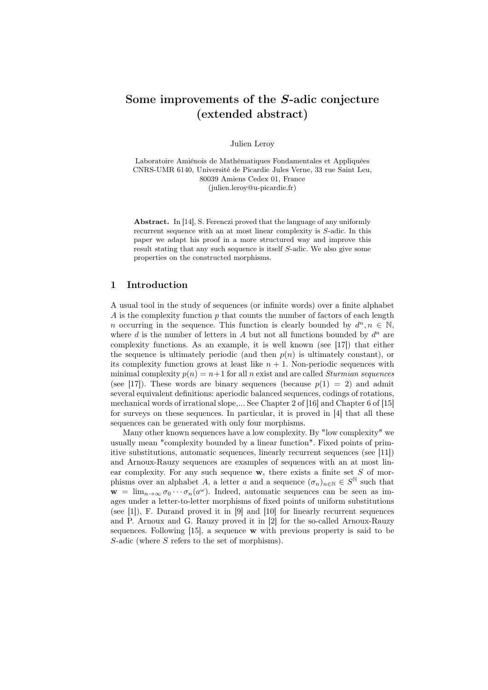# Some improvements of the S-adic conjecture (extended abstract)

Julien Leroy

Laboratoire Amiénois de Mathématiques Fondamentales et Appliquées CNRS-UMR 6140, Université de Picardie Jules Verne, 33 rue Saint Leu, 80039 Amiens Cedex 01, France (julien.leroy@u-picardie.fr)

Abstract. In [14], S. Ferenczi proved that the language of any uniformly recurrent sequence with an at most linear complexity is S-adic. In this paper we adapt his proof in a more structured way and improve this result stating that any such sequence is itself S-adic. We also give some properties on the constructed morphisms.

# 1 Introduction

A usual tool in the study of sequences (or infinite words) over a finite alphabet A is the complexity function  $p$  that counts the number of factors of each length n occurring in the sequence. This function is clearly bounded by  $d^n, n \in \mathbb{N}$ , where  $d$  is the number of letters in  $A$  but not all functions bounded by  $d^n$  are complexity functions. As an example, it is well known (see [17]) that either the sequence is ultimately periodic (and then  $p(n)$  is ultimately constant), or its complexity function grows at least like  $n + 1$ . Non-periodic sequences with minimal complexity  $p(n) = n+1$  for all n exist and are called *Sturmian sequences* (see [17]). These words are binary sequences (because  $p(1) = 2$ ) and admit several equivalent definitions: aperiodic balanced sequences, codings of rotations, mechanical words of irrational slope,... See Chapter 2 of [16] and Chapter 6 of [15] for surveys on these sequences. In particular, it is proved in [4] that all these sequences can be generated with only four morphisms.

Many other known sequences have a low complexity. By "low complexity" we usually mean "complexity bounded by a linear function". Fixed points of primitive substitutions, automatic sequences, linearly recurrent sequences (see [11]) and Arnoux-Rauzy sequences are examples of sequences with an at most linear complexity. For any such sequence  $w$ , there exists a finite set  $S$  of morphisms over an alphabet A, a letter a and a sequence  $(\sigma_n)_{n\in\mathbb{N}}\in S^{\mathbb{N}}$  such that  $\mathbf{w} = \lim_{n \to \infty} \sigma_0 \cdots \sigma_n(a^{\omega})$ . Indeed, automatic sequences can be seen as images under a letter-to-letter morphisms of fixed points of uniform substitutions (see [1]), F. Durand proved it in [9] and [10] for linearly recurrent sequences and P. Arnoux and G. Rauzy proved it in [2] for the so-called Arnoux-Rauzy sequences. Following [15], a sequence w with previous property is said to be S-adic (where S refers to the set of morphisms).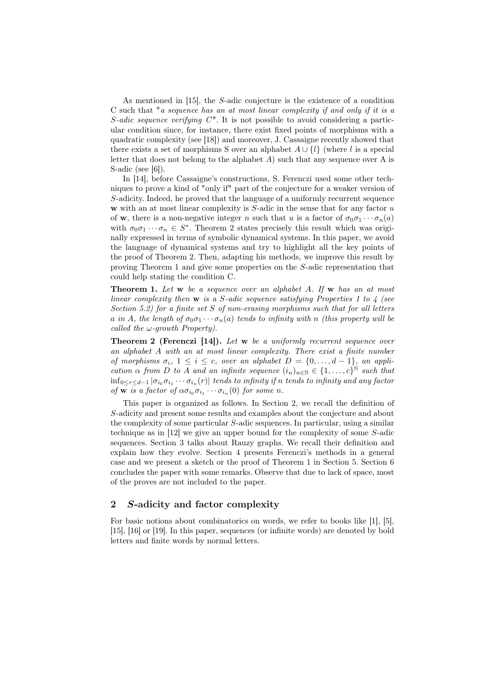As mentioned in [15], the S-adic conjecture is the existence of a condition C such that "a sequence has an at most linear complexity if and only if it is a S-adic sequence verifying  $C<sup>n</sup>$ . It is not possible to avoid considering a particular condition since, for instance, there exist fixed points of morphisms with a quadratic complexity (see [18]) and moreover, J. Cassaigne recently showed that there exists a set of morphisms S over an alphabet  $A \cup \{l\}$  (where l is a special letter that does not belong to the alphabet  $A$ ) such that any sequence over  $A$  is S-adic (see [6]).

In [14], before Cassaigne's constructions, S. Ferenczi used some other techniques to prove a kind of "only if" part of the conjecture for a weaker version of S-adicity. Indeed, he proved that the language of a uniformly recurrent sequence w with an at most linear complexity is  $S$ -adic in the sense that for any factor  $u$ of w, there is a non-negative integer n such that u is a factor of  $\sigma_0 \sigma_1 \cdots \sigma_n(a)$ with  $\sigma_0 \sigma_1 \cdots \sigma_n \in S^*$ . Theorem 2 states precisely this result which was originally expressed in terms of symbolic dynamical systems. In this paper, we avoid the language of dynamical systems and try to highlight all the key points of the proof of Theorem 2. Then, adapting his methods, we improve this result by proving Theorem 1 and give some properties on the S-adic representation that could help stating the condition C.

**Theorem 1.** Let  $w$  be a sequence over an alphabet A. If  $w$  has an at most linear complexity then  $w$  is a S-adic sequence satisfying Properties 1 to 4 (see Section 5.2) for a finite set  $S$  of non-erasing morphisms such that for all letters a in A, the length of  $\sigma_0 \sigma_1 \cdots \sigma_n(a)$  tends to infinity with n (this property will be called the  $\omega$ -growth Property).

**Theorem 2 (Ferenczi [14]).** Let w be a uniformly recurrent sequence over an alphabet A with an at most linear complexity. There exist a finite number of morphisms  $\sigma_i$ ,  $1 \leq i \leq c$ , over an alphabet  $D = \{0, \ldots, d-1\}$ , an application  $\alpha$  from D to A and an infinite sequence  $(i_n)_{n\in\mathbb{N}}\in\{1,\ldots,c\}^{\mathbb{N}}$  such that  $\inf_{0\leq r\leq d-1}\vert\sigma_{i_0}\sigma_{i_1}\cdots\sigma_{i_n}(r)\vert$  tends to infinity if  $n$  tends to infinity and any factor of  $\overline{\mathbf{w}}$  is a factor of  $\alpha \sigma_{i_0} \sigma_{i_1} \cdots \sigma_{i_n}$  (0) for some n.

This paper is organized as follows. In Section 2, we recall the definition of S-adicity and present some results and examples about the conjecture and about the complexity of some particular S-adic sequences. In particular, using a similar technique as in [12] we give an upper bound for the complexity of some S-adic sequences. Section 3 talks about Rauzy graphs. We recall their definition and explain how they evolve. Section 4 presents Ferenczi's methods in a general case and we present a sketch or the proof of Theorem 1 in Section 5. Section 6 concludes the paper with some remarks. Observe that due to lack of space, most of the proves are not included to the paper.

# 2 S-adicity and factor complexity

For basic notions about combinatorics on words, we refer to books like [1], [5], [15], [16] or [19]. In this paper, sequences (or infinite words) are denoted by bold letters and finite words by normal letters.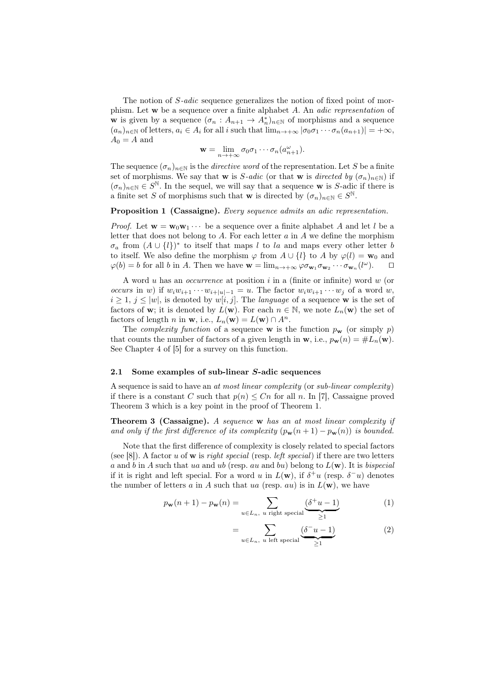The notion of S-adic sequence generalizes the notion of fixed point of morphism. Let w be a sequence over a finite alphabet A. An adic representation of **w** is given by a sequence  $(\sigma_n : A_{n+1} \to A_n^*)_{n \in \mathbb{N}}$  of morphisms and a sequence  $(a_n)_{n\in\mathbb{N}}$  of letters,  $a_i \in A_i$  for all i such that  $\lim_{n\to+\infty} |\sigma_0\sigma_1\cdots\sigma_n(a_{n+1})| = +\infty$ ,  $A_0 = A$  and

$$
\mathbf{w} = \lim_{n \to +\infty} \sigma_0 \sigma_1 \cdots \sigma_n (a_{n+1}^{\omega}).
$$

The sequence  $(\sigma_n)_{n\in\mathbb{N}}$  is the *directive word* of the representation. Let S be a finite set of morphisms. We say that w is S-adic (or that w is directed by  $(\sigma_n)_{n\in\mathbb{N}}$ ) if  $(\sigma_n)_{n\in\mathbb{N}}\in S^{\mathbb{N}}$ . In the sequel, we will say that a sequence w is S-adic if there is a finite set S of morphisms such that w is directed by  $(\sigma_n)_{n\in\mathbb{N}}\in S^{\mathbb{N}}$ .

#### Proposition 1 (Cassaigne). Every sequence admits an adic representation.

*Proof.* Let  $\mathbf{w} = \mathbf{w}_0 \mathbf{w}_1 \cdots$  be a sequence over a finite alphabet A and let l be a letter that does not belong to A. For each letter  $a$  in  $A$  we define the morphism  $\sigma_a$  from  $(A \cup \{l\})^*$  to itself that maps l to la and maps every other letter b to itself. We also define the morphism  $\varphi$  from  $A \cup \{l\}$  to A by  $\varphi(l) = \mathbf{w}_0$  and  $\varphi(b) = b$  for all b in A. Then we have  $\mathbf{w} = \lim_{n \to +\infty} \varphi \sigma_{\mathbf{w}_1} \sigma_{\mathbf{w}_2} \cdots \sigma_{\mathbf{w}_n} (l^{\omega}).$ 

A word  $u$  has an *occurrence* at position  $i$  in a (finite or infinite) word  $w$  (or occurs in w) if  $w_iw_{i+1}\cdots w_{i+|u|-1} = u$ . The factor  $w_iw_{i+1}\cdots w_j$  of a word w,  $i \geq 1, j \leq |w|$ , is denoted by  $w[i, j]$ . The *language* of a sequence w is the set of factors of w; it is denoted by  $L(\mathbf{w})$ . For each  $n \in \mathbb{N}$ , we note  $L_n(\mathbf{w})$  the set of factors of length n in **w**, i.e.,  $L_n(\mathbf{w}) = L(\mathbf{w}) \cap A^n$ .

The *complexity function* of a sequence **w** is the function  $p_w$  (or simply p) that counts the number of factors of a given length in **w**, i.e.,  $p_{\mathbf{w}}(n) = \#L_n(\mathbf{w})$ . See Chapter 4 of [5] for a survey on this function.

#### 2.1 Some examples of sub-linear S-adic sequences

A sequence is said to have an at most linear complexity (or sub-linear complexity) if there is a constant C such that  $p(n) \leq C_n$  for all n. In [7], Cassaigne proved Theorem 3 which is a key point in the proof of Theorem 1.

Theorem 3 (Cassaigne). A sequence w has an at most linear complexity if and only if the first difference of its complexity  $(p_{\mathbf{w}}(n+1) - p_{\mathbf{w}}(n))$  is bounded.

Note that the first difference of complexity is closely related to special factors (see [8]). A factor u of **w** is *right special* (resp. *left special*) if there are two letters a and b in A such that ua and ub (resp. au and bu) belong to  $L(\mathbf{w})$ . It is bispecial if it is right and left special. For a word u in  $L(\mathbf{w})$ , if  $\delta^+u$  (resp.  $\delta^-u$ ) denotes the number of letters a in A such that ua (resp. au) is in  $L(\mathbf{w})$ , we have

$$
p_{\mathbf{w}}(n+1) - p_{\mathbf{w}}(n) = \sum_{u \in L_n, \ u \text{ right special}} \underbrace{(\delta^+ u - 1)}_{\geq 1} \tag{1}
$$

$$
= \sum_{u \in L_n, \ u \text{ left special}} \underbrace{(\delta^- u - 1)}_{\geq 1} \tag{2}
$$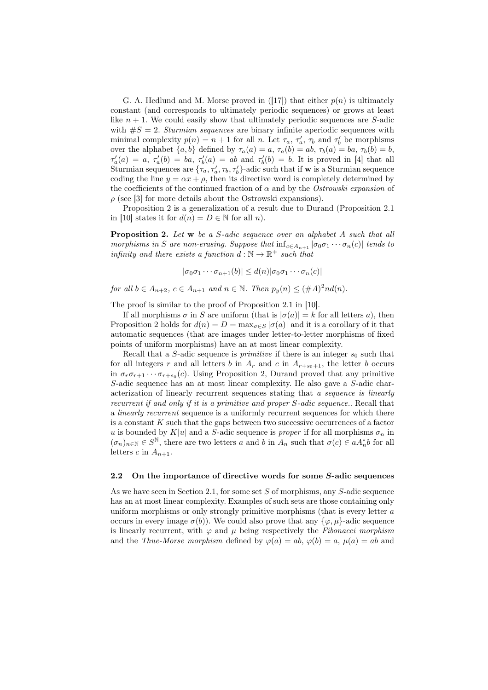G. A. Hedlund and M. Morse proved in ([17]) that either  $p(n)$  is ultimately constant (and corresponds to ultimately periodic sequences) or grows at least like  $n + 1$ . We could easily show that ultimately periodic sequences are S-adic with  $\#S = 2$ . Sturmian sequences are binary infinite aperiodic sequences with minimal complexity  $p(n) = n + 1$  for all n. Let  $\tau_a$ ,  $\tau'_a$ ,  $\tau_b$  and  $\tau'_b$  be morphisms over the alphabet  $\{a, b\}$  defined by  $\tau_a(a) = a, \tau_a(b) = ab, \tau_b(a) = ba, \tau_b(b) = b$ ,  $\tau'_a(a) = a, \tau'_a(b) = ba, \tau'_b(a) = ab$  and  $\tau'_b(b) = b$ . It is proved in [4] that all Sturmian sequences are  $\{\tau_a, \tau'_a, \tau_b, \tau'_b\}$ -adic such that if **w** is a Sturmian sequence coding the line  $y = \alpha x + \rho$ , then its directive word is completely determined by the coefficients of the continued fraction of  $\alpha$  and by the *Ostrowski expansion* of  $\rho$  (see [3] for more details about the Ostrowski expansions).

Proposition 2 is a generalization of a result due to Durand (Proposition 2.1 in [10] states it for  $d(n) = D \in \mathbb{N}$  for all n).

Proposition 2. Let w be a S-adic sequence over an alphabet A such that all morphisms in S are non-erasing. Suppose that  $\inf_{c \in A_{n+1}} |\sigma_0 \sigma_1 \cdots \sigma_n(c)|$  tends to infinity and there exists a function  $d : \mathbb{N} \to \mathbb{R}^+$  such that

$$
|\sigma_0 \sigma_1 \cdots \sigma_{n+1}(b)| \leq d(n) |\sigma_0 \sigma_1 \cdots \sigma_n(c)|
$$

for all  $b \in A_{n+2}$ ,  $c \in A_{n+1}$  and  $n \in \mathbb{N}$ . Then  $p_y(n) \leq (\#A)^2 nd(n)$ .

The proof is similar to the proof of Proposition 2.1 in [10].

If all morphisms  $\sigma$  in S are uniform (that is  $|\sigma(a)| = k$  for all letters a), then Proposition 2 holds for  $d(n) = D = \max_{\sigma \in S} |\sigma(a)|$  and it is a corollary of it that automatic sequences (that are images under letter-to-letter morphisms of fixed points of uniform morphisms) have an at most linear complexity.

Recall that a S-adic sequence is *primitive* if there is an integer  $s_0$  such that for all integers r and all letters b in  $A_r$  and c in  $A_{r+s_0+1}$ , the letter b occurs in  $\sigma_r \sigma_{r+1} \cdots \sigma_{r+s_0}(c)$ . Using Proposition 2, Durand proved that any primitive S-adic sequence has an at most linear complexity. He also gave a S-adic characterization of linearly recurrent sequences stating that a sequence is linearly recurrent if and only if it is a primitive and proper S-adic sequence.. Recall that a linearly recurrent sequence is a uniformly recurrent sequences for which there is a constant  $K$  such that the gaps between two successive occurrences of a factor u is bounded by K|u| and a S-adic sequence is proper if for all morphisms  $\sigma_n$  in  $(\sigma_n)_{n\in\mathbb{N}}\in S^{\mathbb{N}}$ , there are two letters a and b in  $A_n$  such that  $\sigma(c)\in aA_n^*b$  for all letters c in  $A_{n+1}$ .

#### 2.2 On the importance of directive words for some S-adic sequences

As we have seen in Section 2.1, for some set S of morphisms, any S-adic sequence has an at most linear complexity. Examples of such sets are those containing only uniform morphisms or only strongly primitive morphisms (that is every letter a occurs in every image  $\sigma(b)$ ). We could also prove that any  $\{\varphi, \mu\}$ -adic sequence is linearly recurrent, with  $\varphi$  and  $\mu$  being respectively the Fibonacci morphism and the *Thue-Morse morphism* defined by  $\varphi(a) = ab$ ,  $\varphi(b) = a$ ,  $\mu(a) = ab$  and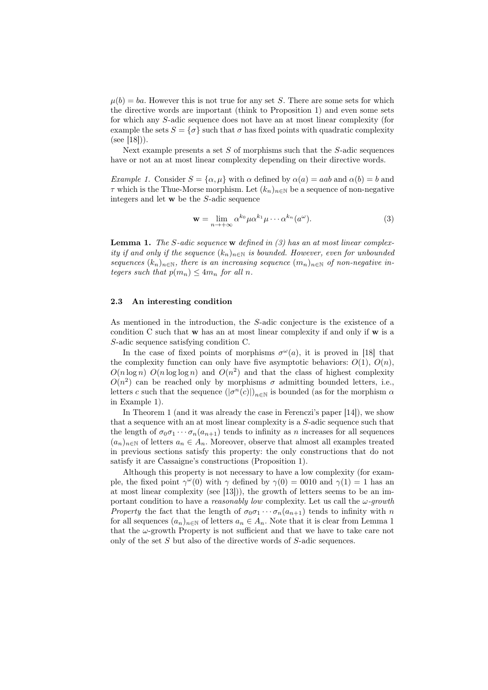$\mu(b) = ba$ . However this is not true for any set S. There are some sets for which the directive words are important (think to Proposition 1) and even some sets for which any S-adic sequence does not have an at most linear complexity (for example the sets  $S = \{\sigma\}$  such that  $\sigma$  has fixed points with quadratic complexity  $(see [18]).$ 

Next example presents a set  $S$  of morphisms such that the  $S$ -adic sequences have or not an at most linear complexity depending on their directive words.

Example 1. Consider  $S = {\alpha, \mu}$  with  $\alpha$  defined by  $\alpha(a) = aab$  and  $\alpha(b) = b$  and  $\tau$  which is the Thue-Morse morphism. Let  $(k_n)_{n\in\mathbb{N}}$  be a sequence of non-negative integers and let w be the S-adic sequence

$$
\mathbf{w} = \lim_{n \to +\infty} \alpha^{k_0} \mu \alpha^{k_1} \mu \cdots \alpha^{k_n} (a^{\omega}).
$$
 (3)

**Lemma 1.** The S-adic sequence **w** defined in (3) has an at most linear complexity if and only if the sequence  $(k_n)_{n\in\mathbb{N}}$  is bounded. However, even for unbounded sequences  $(k_n)_{n\in\mathbb{N}}$ , there is an increasing sequence  $(m_n)_{n\in\mathbb{N}}$  of non-negative integers such that  $p(m_n) \leq 4m_n$  for all n.

### 2.3 An interesting condition

As mentioned in the introduction, the S-adic conjecture is the existence of a condition C such that  $w$  has an at most linear complexity if and only if  $w$  is a S-adic sequence satisfying condition C.

In the case of fixed points of morphisms  $\sigma^{\omega}(a)$ , it is proved in [18] that the complexity function can only have five asymptotic behaviors:  $O(1)$ ,  $O(n)$ ,  $O(n \log n)$   $O(n \log \log n)$  and  $O(n^2)$  and that the class of highest complexity  $O(n^2)$  can be reached only by morphisms  $\sigma$  admitting bounded letters, i.e., letters c such that the sequence  $(|\sigma^n(c)|)_{n\in\mathbb{N}}$  is bounded (as for the morphism  $\alpha$ in Example 1).

In Theorem 1 (and it was already the case in Ferenczi's paper [14]), we show that a sequence with an at most linear complexity is a S-adic sequence such that the length of  $\sigma_0 \sigma_1 \cdots \sigma_n (a_{n+1})$  tends to infinity as n increases for all sequences  $(a_n)_{n\in\mathbb{N}}$  of letters  $a_n \in A_n$ . Moreover, observe that almost all examples treated in previous sections satisfy this property: the only constructions that do not satisfy it are Cassaigne's constructions (Proposition 1).

Although this property is not necessary to have a low complexity (for example, the fixed point  $\gamma^{\omega}(0)$  with  $\gamma$  defined by  $\gamma(0) = 0010$  and  $\gamma(1) = 1$  has an at most linear complexity (see [13])), the growth of letters seems to be an important condition to have a *reasonably low* complexity. Let us call the  $\omega$ -growth Property the fact that the length of  $\sigma_0 \sigma_1 \cdots \sigma_n (a_{n+1})$  tends to infinity with n for all sequences  $(a_n)_{n\in\mathbb{N}}$  of letters  $a_n \in A_n$ . Note that it is clear from Lemma 1 that the  $\omega$ -growth Property is not sufficient and that we have to take care not only of the set S but also of the directive words of S-adic sequences.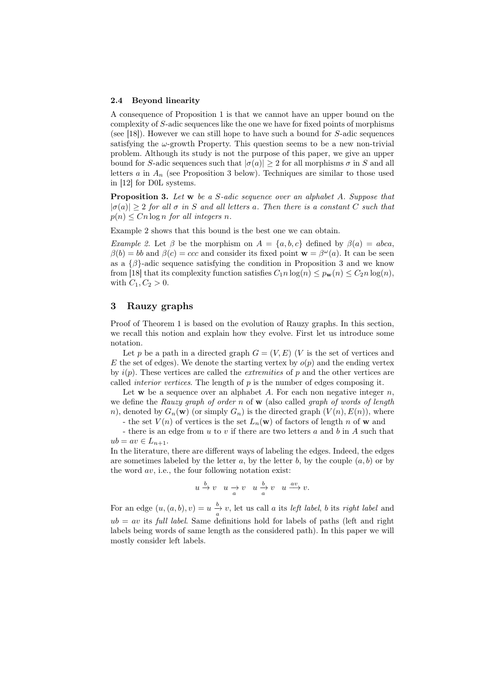#### 2.4 Beyond linearity

A consequence of Proposition 1 is that we cannot have an upper bound on the complexity of S-adic sequences like the one we have for fixed points of morphisms (see [18]). However we can still hope to have such a bound for  $S$ -adic sequences satisfying the  $\omega$ -growth Property. This question seems to be a new non-trivial problem. Although its study is not the purpose of this paper, we give an upper bound for S-adic sequences such that  $|\sigma(a)| \geq 2$  for all morphisms  $\sigma$  in S and all letters a in  $A_n$  (see Proposition 3 below). Techniques are similar to those used in [12] for D0L systems.

**Proposition 3.** Let w be a S-adic sequence over an alphabet A. Suppose that  $|\sigma(a)| \geq 2$  for all  $\sigma$  in S and all letters a. Then there is a constant C such that  $p(n) \leq C_n \log n$  for all integers n.

Example 2 shows that this bound is the best one we can obtain.

Example 2. Let  $\beta$  be the morphism on  $A = \{a, b, c\}$  defined by  $\beta(a) = abca$ ,  $\beta(b) = bb$  and  $\beta(c) = ccc$  and consider its fixed point  $\mathbf{w} = \beta^{\omega}(a)$ . It can be seen as a  $\{\beta\}$ -adic sequence satisfying the condition in Proposition 3 and we know from [18] that its complexity function satisfies  $C_1 n \log(n) \leq p_{\mathbf{w}}(n) \leq C_2 n \log(n)$ , with  $C_1, C_2 > 0$ .

# 3 Rauzy graphs

Proof of Theorem 1 is based on the evolution of Rauzy graphs. In this section, we recall this notion and explain how they evolve. First let us introduce some notation.

Let p be a path in a directed graph  $G = (V, E)$  (V is the set of vertices and E the set of edges). We denote the starting vertex by  $o(p)$  and the ending vertex by  $i(p)$ . These vertices are called the *extremities* of p and the other vertices are called *interior vertices*. The length of  $p$  is the number of edges composing it.

Let  $w$  be a sequence over an alphabet A. For each non negative integer  $n$ , we define the Rauzy graph of order n of  $\bf{w}$  (also called graph of words of length n), denoted by  $G_n(\mathbf{w})$  (or simply  $G_n$ ) is the directed graph  $(V(n), E(n))$ , where

- the set  $V(n)$  of vertices is the set  $L_n(\mathbf{w})$  of factors of length n of **w** and

- there is an edge from u to v if there are two letters a and b in A such that  $ub = av \in L_{n+1}.$ 

In the literature, there are different ways of labeling the edges. Indeed, the edges are sometimes labeled by the letter a, by the letter b, by the couple  $(a, b)$  or by the word  $av$ , i.e., the four following notation exist:

$$
u\stackrel{b}{\rightarrow} v\quad u\stackrel{\ }{\rightarrow} v\quad u\stackrel{b}{\rightarrow} v\quad u\stackrel{av}{\longrightarrow} v.
$$

For an edge  $(u, (a, b), v) = u \frac{b}{a} v$ , let us call a its *left label*, b its *right label* and  $ub = av$  its *full label*. Same definitions hold for labels of paths (left and right labels being words of same length as the considered path). In this paper we will mostly consider left labels.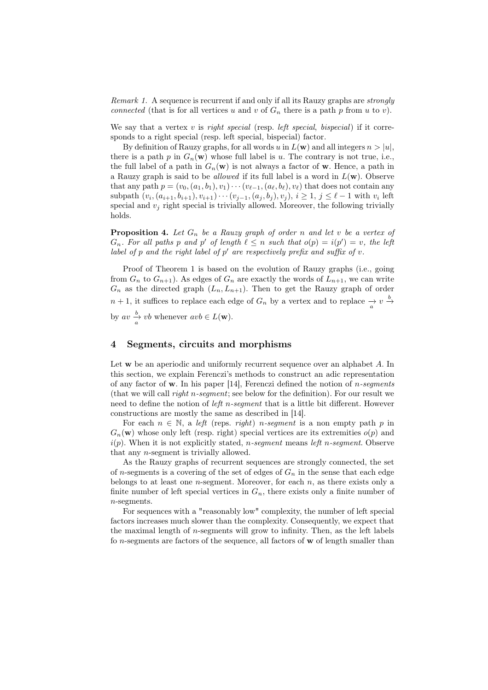Remark 1. A sequence is recurrent if and only if all its Rauzy graphs are *strongly* connected (that is for all vertices u and v of  $G_n$  there is a path p from u to v).

We say that a vertex  $v$  is *right special* (resp. *left special*, *bispecial*) if it corresponds to a right special (resp. left special, bispecial) factor.

By definition of Rauzy graphs, for all words u in  $L(\mathbf{w})$  and all integers  $n > |u|$ , there is a path p in  $G_n(\mathbf{w})$  whose full label is u. The contrary is not true, i.e., the full label of a path in  $G_n(\mathbf{w})$  is not always a factor of **w**. Hence, a path in a Rauzy graph is said to be *allowed* if its full label is a word in  $L(\mathbf{w})$ . Observe that any path  $p = (v_0, (a_1, b_1), v_1) \cdots (v_{\ell-1}, (a_{\ell}, b_{\ell}), v_{\ell})$  that does not contain any subpath  $(v_i, (a_{i+1}, b_{i+1}), v_{i+1}) \cdots (v_{j-1}, (a_j, b_j), v_j), i \ge 1, j \le \ell - 1$  with  $v_i$  left special and  $v_j$  right special is trivially allowed. Moreover, the following trivially holds.

**Proposition 4.** Let  $G_n$  be a Rauzy graph of order n and let v be a vertex of  $G_n$ . For all paths p and p' of length  $\ell \leq n$  such that  $o(p) = i(p') = v$ , the left label of  $p$  and the right label of  $p'$  are respectively prefix and suffix of  $v$ .

Proof of Theorem 1 is based on the evolution of Rauzy graphs (i.e., going from  $G_n$  to  $G_{n+1}$ ). As edges of  $G_n$  are exactly the words of  $L_{n+1}$ , we can write  $G_n$  as the directed graph  $(L_n, L_{n+1})$ . Then to get the Rauzy graph of order  $n + 1$ , it suffices to replace each edge of  $G_n$  by a vertex and to replace  $\frac{\rightarrow}{a} v \stackrel{b}{\rightarrow} a$ by  $av \frac{b}{a} v b$  whenever  $avb \in L(\mathbf{w})$ .

# 4 Segments, circuits and morphisms

Let w be an aperiodic and uniformly recurrent sequence over an alphabet A. In this section, we explain Ferenczi's methods to construct an adic representation of any factor of w. In his paper [14], Ferenczi defined the notion of  $n$ -segments (that we will call right n-segment; see below for the definition). For our result we need to define the notion of *left n-segment* that is a little bit different. However constructions are mostly the same as described in [14].

For each  $n \in \mathbb{N}$ , a left (reps. *right*) *n*-segment is a non empty path p in  $G_n(\mathbf{w})$  whose only left (resp. right) special vertices are its extremities  $o(p)$  and  $i(p)$ . When it is not explicitly stated, *n*-segment means left *n*-segment. Observe that any n-segment is trivially allowed.

As the Rauzy graphs of recurrent sequences are strongly connected, the set of n-segments is a covering of the set of edges of  $G_n$  in the sense that each edge belongs to at least one *n*-segment. Moreover, for each  $n$ , as there exists only a finite number of left special vertices in  $G_n$ , there exists only a finite number of n-segments.

For sequences with a "reasonably low" complexity, the number of left special factors increases much slower than the complexity. Consequently, we expect that the maximal length of  $n$ -segments will grow to infinity. Then, as the left labels fo n-segments are factors of the sequence, all factors of w of length smaller than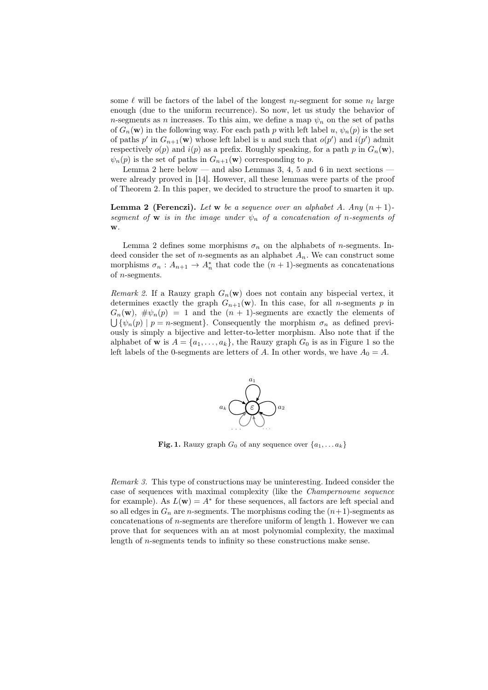some  $\ell$  will be factors of the label of the longest  $n_{\ell}$ -segment for some  $n_{\ell}$  large enough (due to the uniform recurrence). So now, let us study the behavior of n-segments as n increases. To this aim, we define a map  $\psi_n$  on the set of paths of  $G_n(\mathbf{w})$  in the following way. For each path p with left label u,  $\psi_n(p)$  is the set of paths  $p'$  in  $G_{n+1}(\mathbf{w})$  whose left label is u and such that  $o(p')$  and  $i(p')$  admit respectively  $o(p)$  and  $i(p)$  as a prefix. Roughly speaking, for a path p in  $G_n(\mathbf{w})$ ,  $\psi_n(p)$  is the set of paths in  $G_{n+1}(\mathbf{w})$  corresponding to p.

Lemma 2 here below — and also Lemmas 3, 4, 5 and 6 in next sections were already proved in [14]. However, all these lemmas were parts of the proof of Theorem 2. In this paper, we decided to structure the proof to smarten it up.

**Lemma 2 (Ferenczi).** Let w be a sequence over an alphabet A. Any  $(n + 1)$ segment of **w** is in the image under  $\psi_n$  of a concatenation of n-segments of w.

Lemma 2 defines some morphisms  $\sigma_n$  on the alphabets of *n*-segments. Indeed consider the set of *n*-segments as an alphabet  $A_n$ . We can construct some morphisms  $\sigma_n: A_{n+1} \to A_n^*$  that code the  $(n+1)$ -segments as concatenations of n-segments.

Remark 2. If a Rauzy graph  $G_n(\mathbf{w})$  does not contain any bispecial vertex, it determines exactly the graph  $G_{n+1}(\mathbf{w})$ . In this case, for all *n*-segments p in  $G_n(\mathbf{w})$ ,  $\#\psi_n(p) = 1$  and the  $(n + 1)$ -segments are exactly the elements of  $\bigcup \{\psi_n(p) \mid p = n\text{-segment}\}.$  Consequently the morphism  $\sigma_n$  as defined previously is simply a bijective and letter-to-letter morphism. Also note that if the alphabet of **w** is  $A = \{a_1, \ldots, a_k\}$ , the Rauzy graph  $G_0$  is as in Figure 1 so the left labels of the 0-segments are letters of A. In other words, we have  $A_0 = A$ .



**Fig. 1.** Rauzy graph  $G_0$  of any sequence over  $\{a_1, \ldots, a_k\}$ 

Remark 3. This type of constructions may be uninteresting. Indeed consider the case of sequences with maximal complexity (like the Champernowne sequence for example). As  $L(\mathbf{w}) = A^*$  for these sequences, all factors are left special and so all edges in  $G_n$  are *n*-segments. The morphisms coding the  $(n+1)$ -segments as concatenations of n-segments are therefore uniform of length 1. However we can prove that for sequences with an at most polynomial complexity, the maximal length of n-segments tends to infinity so these constructions make sense.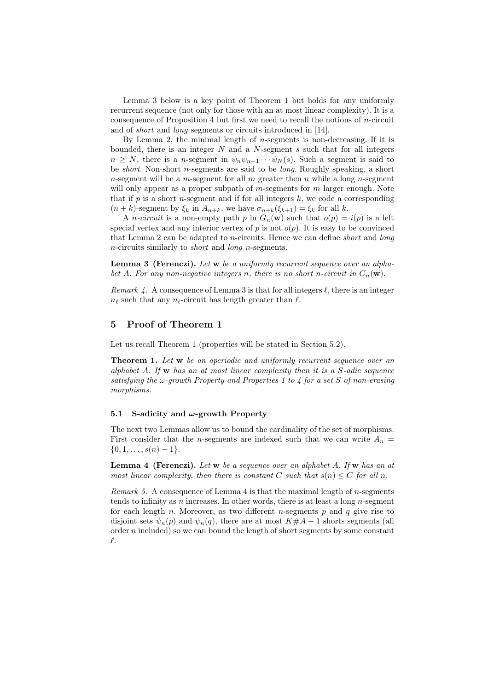Lemma 3 below is a key point of Theorem 1 but holds for any uniformly recurrent sequence (not only for those with an at most linear complexity). It is a consequence of Proposition 4 but first we need to recall the notions of  $n$ -circuit and of short and long segments or circuits introduced in [14].

By Lemma 2, the minimal length of *n*-segments is non-decreasing. If it is bounded, there is an integer  $N$  and a  $N$ -segment  $s$  such that for all integers  $n \geq N$ , there is a *n*-segment in  $\psi_n \psi_{n-1} \cdots \psi_N(s)$ . Such a segment is said to be short. Non-short n-segments are said to be long. Roughly speaking, a short n-segment will be a m-segment for all m greater then n while a long n-segment will only appear as a proper subpath of  $m$ -segments for  $m$  larger enough. Note that if  $p$  is a short *n*-segment and if for all integers  $k$ , we code a corresponding  $(n + k)$ -segment by  $\xi_k$  in  $A_{n+k}$ , we have  $\sigma_{n+k}(\xi_{k+1}) = \xi_k$  for all k.

A *n*-circuit is a non-empty path p in  $G_n(\mathbf{w})$  such that  $o(p) = i(p)$  is a left special vertex and any interior vertex of  $p$  is not  $o(p)$ . It is easy to be convinced that Lemma  $2$  can be adapted to *n*-circuits. Hence we can define *short* and *long* n-circuits similarly to short and long n-segments.

Lemma 3 (Ferenczi). Let w be a uniformly recurrent sequence over an alphabet A. For any non-negative integers n, there is no short n-circuit in  $G_n(\mathbf{w})$ .

Remark 4. A consequence of Lemma 3 is that for all integers  $\ell$ , there is an integer  $n_{\ell}$  such that any  $n_{\ell}$ -circuit has length greater than  $\ell$ .

## 5 Proof of Theorem 1

Let us recall Theorem 1 (properties will be stated in Section 5.2).

**Theorem 1.** Let w be an aperiodic and uniformly recurrent sequence over an alphabet A. If  $w$  has an at most linear complexity then it is a S-adic sequence satisfying the  $\omega$ -growth Property and Properties 1 to 4 for a set S of non-erasing morphisms.

### 5.1 S-adicity and  $\omega$ -growth Property

The next two Lemmas allow us to bound the cardinality of the set of morphisms. First consider that the *n*-segments are indexed such that we can write  $A_n =$  $\{0, 1, \ldots, s(n) - 1\}.$ 

**Lemma 4 (Ferenczi).** Let  $w$  be a sequence over an alphabet A. If  $w$  has an at most linear complexity, then there is constant C such that  $s(n) \leq C$  for all n.

Remark 5. A consequence of Lemma 4 is that the maximal length of n-segments tends to infinity as n increases. In other words, there is at least a long n-segment for each length n. Moreover, as two different n-segments  $p$  and  $q$  give rise to disjoint sets  $\psi_n(p)$  and  $\psi_n(q)$ , there are at most  $K\#A-1$  shorts segments (all order  $n$  included) so we can bound the length of short segments by some constant  $\ell$ .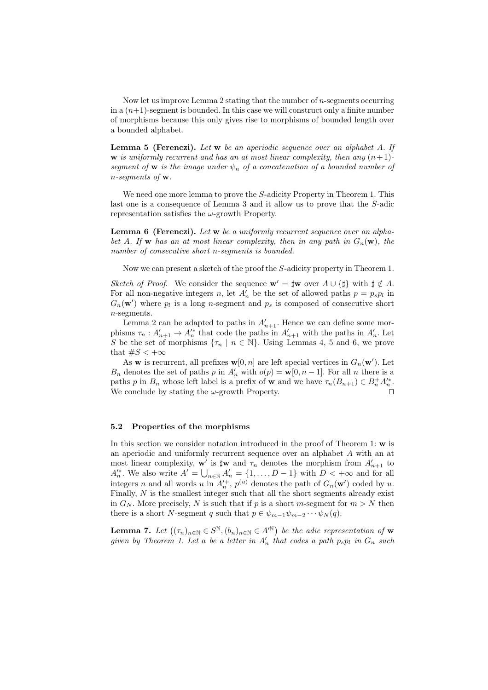Now let us improve Lemma 2 stating that the number of n-segments occurring in a  $(n+1)$ -segment is bounded. In this case we will construct only a finite number of morphisms because this only gives rise to morphisms of bounded length over a bounded alphabet.

Lemma 5 (Ferenczi). Let w be an aperiodic sequence over an alphabet A. If w is uniformly recurrent and has an at most linear complexity, then any  $(n+1)$ segment of **w** is the image under  $\psi_n$  of a concatenation of a bounded number of n-segments of w.

We need one more lemma to prove the S-adicity Property in Theorem 1. This last one is a consequence of Lemma 3 and it allow us to prove that the S-adic representation satisfies the  $\omega$ -growth Property.

Lemma 6 (Ferenczi). Let w be a uniformly recurrent sequence over an alphabet A. If w has an at most linear complexity, then in any path in  $G_n(w)$ , the number of consecutive short n-segments is bounded.

Now we can present a sketch of the proof the S-adicity property in Theorem 1.

Sketch of Proof. We consider the sequence  $\mathbf{w}' = \mathbf{\downarrow w}$  over  $A \cup \{\mathbf{\downarrow}\}\$  with  $\mathbf{\downarrow} \notin A$ . For all non-negative integers n, let  $A'_n$  be the set of allowed paths  $p = p_s p_l$  in  $G_n(\mathbf{w}')$  where  $p_l$  is a long n-segment and  $p_s$  is composed of consecutive short n-segments.

Lemma 2 can be adapted to paths in  $A'_{n+1}$ . Hence we can define some morphisms  $\tau_n: A'_{n+1} \to A'^{*}_n$  that code the paths in  $A'_{n+1}$  with the paths in  $A'_n$ . Let S be the set of morphisms  $\{\tau_n \mid n \in \mathbb{N}\}\.$  Using Lemmas 4, 5 and 6, we prove that  $\#S < +\infty$ 

As w is recurrent, all prefixes  $\mathbf{w}[0,n]$  are left special vertices in  $G_n(\mathbf{w}')$ . Let  $B_n$  denotes the set of paths p in  $A'_n$  with  $o(p) = \mathbf{w}[0, n-1]$ . For all n there is a paths p in  $B_n$  whose left label is a prefix of **w** and we have  $\tau_n(B_{n+1}) \in B_n^+ A_n^*$ . We conclude by stating the  $\omega$ -growth Property. □

#### 5.2 Properties of the morphisms

In this section we consider notation introduced in the proof of Theorem 1: w is an aperiodic and uniformly recurrent sequence over an alphabet A with an at most linear complexity,  $\mathbf{w}'$  is  $\sharp \mathbf{w}$  and  $\tau_n$  denotes the morphism from  $A'_{n+1}$  to  $A'_n$ . We also write  $A' = \bigcup_{n \in \mathbb{N}} A'_n = \{1, \ldots, D-1\}$  with  $D < +\infty$  and for all integers n and all words u in  $A'_n$ ,  $p^{(u)}$  denotes the path of  $G_n(\mathbf{w}')$  coded by u. Finally, N is the smallest integer such that all the short segments already exist in  $G_N$ . More precisely, N is such that if p is a short m-segment for  $m > N$  then there is a short N-segment q such that  $p \in \psi_{m-1}\psi_{m-2}\cdots\psi_N(q)$ .

**Lemma 7.** Let  $((\tau_n)_{n\in\mathbb{N}}\in S^{\mathbb{N}}, (b_n)_{n\in\mathbb{N}}\in A'^{\mathbb{N}})$  be the adic representation of w given by Theorem 1. Let a be a letter in  $A'_n$  that codes a path  $p_s p_l$  in  $G_n$  such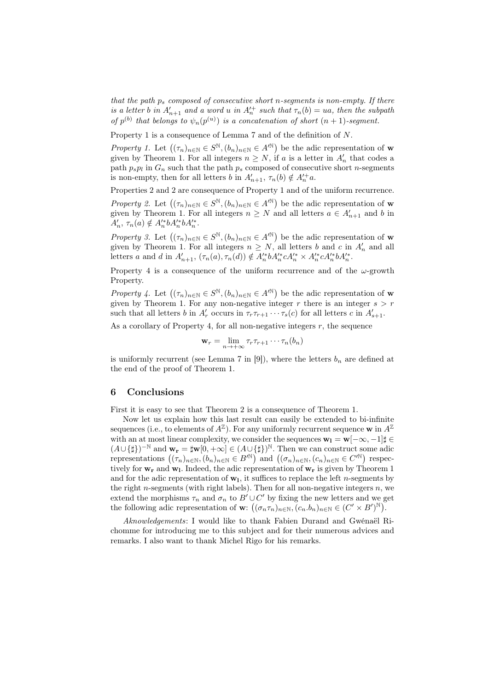that the path  $p_s$  composed of consecutive short n-segments is non-empty. If there is a letter b in  $A'_{n+1}$  and a word u in  $A'^{+}_{n}$  such that  $\tau_n(b) = ua$ , then the subpath of  $p^{(b)}$  that belongs to  $\psi_n(p^{(u)})$  is a concatenation of short  $(n + 1)$ -segment.

Property 1 is a consequence of Lemma 7 and of the definition of N.

Property 1. Let  $((\tau_n)_{n\in\mathbb{N}}\in S^{\mathbb{N}}, (b_n)_{n\in\mathbb{N}}\in A'^{\mathbb{N}})$  be the adic representation of w given by Theorem 1. For all integers  $n \geq N$ , if a is a letter in  $A'_n$  that codes a path  $p_s p_l$  in  $G_n$  such that the path  $p_s$  composed of consecutive short *n*-segments is non-empty, then for all letters b in  $A'_{n+1}$ ,  $\tau_n(b) \notin A'^+_n a$ .

Properties 2 and 2 are consequence of Property 1 and of the uniform recurrence.

Property 2. Let  $((\tau_n)_{n\in\mathbb{N}}\in S^{\mathbb{N}}, (b_n)_{n\in\mathbb{N}}\in A'^{\mathbb{N}})$  be the adic representation of w given by Theorem 1. For all integers  $n \geq N$  and all letters  $a \in A'_{n+1}$  and b in  $A'_n, \tau_n(a) \notin A'^*_{n}bA'^*_{n}bA'^*_{n}.$ 

Property 3. Let  $((\tau_n)_{n\in\mathbb{N}}\in S^{\mathbb{N}}, (b_n)_{n\in\mathbb{N}}\in A'^{\mathbb{N}})$  be the adic representation of w given by Theorem 1. For all integers  $n \geq N$ , all letters b and c in  $A'_n$  and all letters a and d in  $A'_{n+1}$ ,  $(\tau_n(a), \tau_n(d)) \notin A'^*_{n}bA'^*_{n}cA'^*_{n} \times A'^*_{n}cA'^*_{n}bA'^*_{n}$ .

Property 4 is a consequence of the uniform recurrence and of the  $\omega$ -growth Property.

Property 4. Let  $((\tau_n)_{n\in\mathbb{N}}\in S^{\mathbb{N}}, (b_n)_{n\in\mathbb{N}}\in A'^{\mathbb{N}})$  be the adic representation of w given by Theorem 1. For any non-negative integer r there is an integer  $s > r$ such that all letters b in  $A'_r$  occurs in  $\tau_r \tau_{r+1} \cdots \tau_s(c)$  for all letters c in  $A'_{s+1}$ .

As a corollary of Property 4, for all non-negative integers  $r$ , the sequence

$$
\mathbf{w}_r = \lim_{n \to +\infty} \tau_r \tau_{r+1} \cdots \tau_n(b_n)
$$

is uniformly recurrent (see Lemma 7 in [9]), where the letters  $b_n$  are defined at the end of the proof of Theorem 1.

# 6 Conclusions

First it is easy to see that Theorem 2 is a consequence of Theorem 1.

Now let us explain how this last result can easily be extended to bi-infinite sequences (i.e., to elements of  $A^{\mathbb{Z}}$ ). For any uniformly recurrent sequence w in  $A^{\mathbb{Z}}$ with an at most linear complexity, we consider the sequences  $\mathbf{w}_1 = \mathbf{w}[-\infty, -1] \sharp \in$  $(A \cup \{\sharp\})^{-\mathbb{N}}$  and  $\mathbf{w}_r = \sharp \mathbf{w}[0, +\infty] \in (A \cup \{\sharp\})^{\mathbb{N}}$ . Then we can construct some adic representations  $((\tau_n)_{n\in\mathbb{N}},(b_n)_{n\in\mathbb{N}}\in B'^{\mathbb{N}})$  and  $((\sigma_n)_{n\in\mathbb{N}},(c_n)_{n\in\mathbb{N}}\in C'^{\mathbb{N}})$  respectively for  $w_r$  and  $w_l$ . Indeed, the adic representation of  $w_r$  is given by Theorem 1 and for the adic representation of  $w_1$ , it suffices to replace the left *n*-segments by the right n-segments (with right labels). Then for all non-negative integers  $n$ , we extend the morphisms  $\tau_n$  and  $\sigma_n$  to  $B' \cup C'$  by fixing the new letters and we get the following adic representation of w:  $((\sigma_n \tau_n)_{n \in \mathbb{N}}, (c_n.b_n)_{n \in \mathbb{N}} \in (C' \times B')^{\mathbb{N}})$ .

Aknowledgements: I would like to thank Fabien Durand and Gwénaël Richomme for introducing me to this subject and for their numerous advices and remarks. I also want to thank Michel Rigo for his remarks.